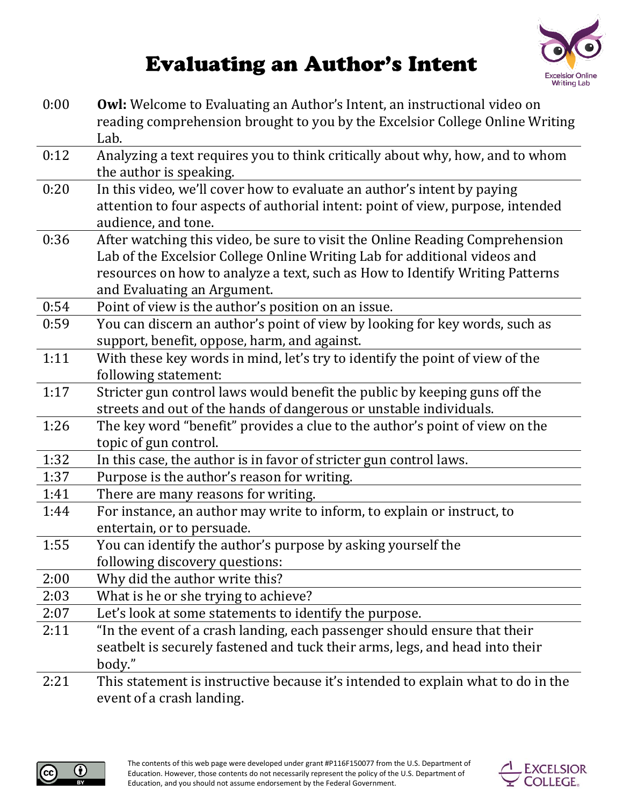## **Excelsior Online Writing Lab**

## **Evaluating an Author's Intent**

| 0:00 | <b>Owl:</b> Welcome to Evaluating an Author's Intent, an instructional video on<br>reading comprehension brought to you by the Excelsior College Online Writing                                                                                                          |
|------|--------------------------------------------------------------------------------------------------------------------------------------------------------------------------------------------------------------------------------------------------------------------------|
|      | Lab.                                                                                                                                                                                                                                                                     |
| 0:12 | Analyzing a text requires you to think critically about why, how, and to whom<br>the author is speaking.                                                                                                                                                                 |
| 0:20 | In this video, we'll cover how to evaluate an author's intent by paying<br>attention to four aspects of authorial intent: point of view, purpose, intended<br>audience, and tone.                                                                                        |
| 0:36 | After watching this video, be sure to visit the Online Reading Comprehension<br>Lab of the Excelsior College Online Writing Lab for additional videos and<br>resources on how to analyze a text, such as How to Identify Writing Patterns<br>and Evaluating an Argument. |
| 0:54 | Point of view is the author's position on an issue.                                                                                                                                                                                                                      |
| 0:59 | You can discern an author's point of view by looking for key words, such as<br>support, benefit, oppose, harm, and against.                                                                                                                                              |
| 1:11 | With these key words in mind, let's try to identify the point of view of the<br>following statement:                                                                                                                                                                     |
| 1:17 | Stricter gun control laws would benefit the public by keeping guns off the<br>streets and out of the hands of dangerous or unstable individuals.                                                                                                                         |
| 1:26 | The key word "benefit" provides a clue to the author's point of view on the<br>topic of gun control.                                                                                                                                                                     |
| 1:32 | In this case, the author is in favor of stricter gun control laws.                                                                                                                                                                                                       |
| 1:37 | Purpose is the author's reason for writing.                                                                                                                                                                                                                              |
| 1:41 | There are many reasons for writing.                                                                                                                                                                                                                                      |
| 1:44 | For instance, an author may write to inform, to explain or instruct, to                                                                                                                                                                                                  |
|      | entertain, or to persuade.                                                                                                                                                                                                                                               |
| 1:55 | You can identify the author's purpose by asking yourself the<br>following discovery questions:                                                                                                                                                                           |
| 2:00 | Why did the author write this?                                                                                                                                                                                                                                           |
| 2:03 | What is he or she trying to achieve?                                                                                                                                                                                                                                     |
| 2:07 | Let's look at some statements to identify the purpose.                                                                                                                                                                                                                   |
| 2:11 | "In the event of a crash landing, each passenger should ensure that their                                                                                                                                                                                                |
|      | seatbelt is securely fastened and tuck their arms, legs, and head into their<br>body."                                                                                                                                                                                   |
| 2:21 | This statement is instructive because it's intended to explain what to do in the                                                                                                                                                                                         |

event of a crash landing.



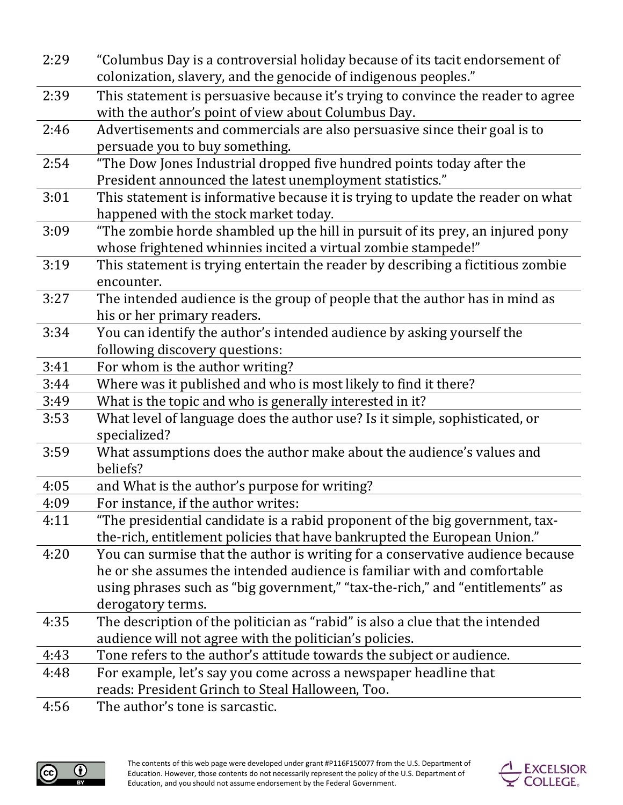| 2:29 | "Columbus Day is a controversial holiday because of its tacit endorsement of     |
|------|----------------------------------------------------------------------------------|
|      | colonization, slavery, and the genocide of indigenous peoples."                  |
| 2:39 | This statement is persuasive because it's trying to convince the reader to agree |
|      | with the author's point of view about Columbus Day.                              |
| 2:46 | Advertisements and commercials are also persuasive since their goal is to        |
|      | persuade you to buy something.                                                   |
| 2:54 | "The Dow Jones Industrial dropped five hundred points today after the            |
|      | President announced the latest unemployment statistics."                         |
| 3:01 | This statement is informative because it is trying to update the reader on what  |
|      | happened with the stock market today.                                            |
| 3:09 | "The zombie horde shambled up the hill in pursuit of its prey, an injured pony   |
|      | whose frightened whinnies incited a virtual zombie stampede!"                    |
| 3:19 | This statement is trying entertain the reader by describing a fictitious zombie  |
|      | encounter.                                                                       |
| 3:27 | The intended audience is the group of people that the author has in mind as      |
|      | his or her primary readers.                                                      |
| 3:34 | You can identify the author's intended audience by asking yourself the           |
|      | following discovery questions:                                                   |
| 3:41 | For whom is the author writing?                                                  |
| 3:44 | Where was it published and who is most likely to find it there?                  |
| 3:49 | What is the topic and who is generally interested in it?                         |
| 3:53 | What level of language does the author use? Is it simple, sophisticated, or      |
|      | specialized?                                                                     |
| 3:59 | What assumptions does the author make about the audience's values and            |
|      | beliefs?                                                                         |
| 4:05 | and What is the author's purpose for writing?                                    |
| 4:09 | For instance, if the author writes:                                              |
| 4:11 | "The presidential candidate is a rabid proponent of the big government, tax-     |
|      | the-rich, entitlement policies that have bankrupted the European Union."         |
| 4:20 | You can surmise that the author is writing for a conservative audience because   |
|      | he or she assumes the intended audience is familiar with and comfortable         |
|      | using phrases such as "big government," "tax-the-rich," and "entitlements" as    |
|      | derogatory terms.                                                                |
| 4:35 | The description of the politician as "rabid" is also a clue that the intended    |
|      | audience will not agree with the politician's policies.                          |
| 4:43 | Tone refers to the author's attitude towards the subject or audience.            |
| 4:48 | For example, let's say you come across a newspaper headline that                 |
|      | reads: President Grinch to Steal Halloween, Too.                                 |
| 4:56 | The author's tone is sarcastic.                                                  |